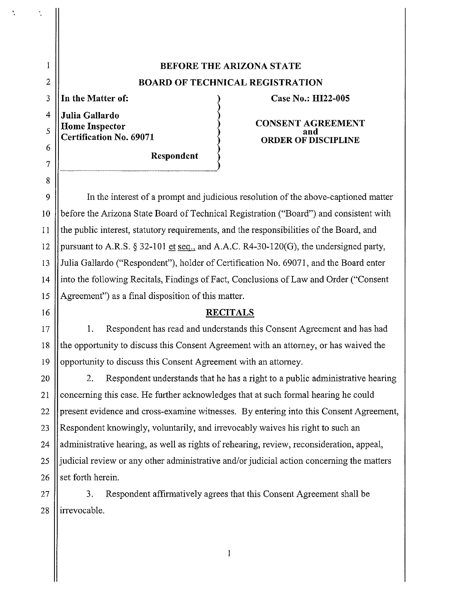## **BEFORE THE ARIZONA STATE BOARD OF TECHNICAL REGISTRATION**

3 **In the Matter of:** 

I

t,

Ç

2

5

6

7

8

4 **Julia Gallardo Home Inspector Certification No. 69071** 

**Respondent** 

## **Case No.: HI22-005**

**CONSENT AGREEMENT and ORDER OF DISCIPLINE** 

9 In the interest of a prompt and judicious resolution of the above-captioned matter 10 | before the Arizona State Board of Technical Registration ("Board") and consistent with 11 the public interest, statutory requirements, and the responsibilities of the Board, and 12 | pursuant to A.R.S. § 32-101 et seq., and A.A.C. R4-30-120(G), the undersigned party, 13 Julia Gallardo ("Respondent"), holder of Certification No. 69071, and the Board enter 14 into the following Recitals, Findings of Fact, Conclusions of Law and Order ("Consent 15 Agreement") as a final disposition of this matter.

## 16 **RECITALS**

17 **1.** Respondent has read and understands this Consent Agreement and has had 18  $\parallel$  the opportunity to discuss this Consent Agreement with an attorney, or has waived the 19 || opportunity to discuss this Consent Agreement with an attorney.

20 || 2. Respondent understands that he has a right to a public administrative hearing 21 Concerning this case. He further acknowledges that at such formal hearing he could 22 September 22 present evidence and cross-examine witnesses. By entering into this Consent Agreement, 23  $\parallel$ Respondent knowingly, voluntarily, and irrevocably waives his right to such an 24  $\parallel$  administrative hearing, as well as rights of rehearing, review, reconsideration, appeal, 25  $\parallel$  judicial review or any other administrative and/or judicial action concerning the matters 26  $\parallel$  set forth herein.

 $27$   $\parallel$  3. Respondent affirmatively agrees that this Consent Agreement shall be 28 llirrevocable.

I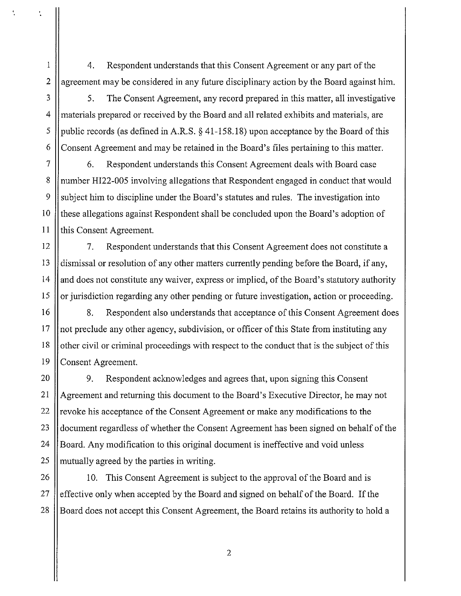1 4. Respondent understands that this Consent Agreement or any part of the 2  $\parallel$  agreement may be considered in any future disciplinary action by the Board against him.

ł,

3 | 5. The Consent Agreement, any record prepared in this matter, all investigative 4 materials prepared or received by the Board and all related exhibits and materials, are 5 || public records (as defined in A.R.S.  $\S$  41-158.18) upon acceptance by the Board of this 6 Consent Agreement and may be retained in the Board's files pertaining to this matter.

7 6. Respondent understands this Consent Agreement deals with Board case 8 | number HI22-005 involving allegations that Respondent engaged in conduct that would 9 Subject him to discipline under the Board's statutes and rules. The investigation into 10 || these allegations against Respondent shall be concluded upon the Board's adoption of 11 || this Consent Agreement.

12 7. Respondent understands that this Consent Agreement does not constitute a 13 dismissal or resolution of any other matters currently pending before the Board, if any,  $14$  | and does not constitute any waiver, express or implied, of the Board's statutory authority 15  $\parallel$  or jurisdiction regarding any other pending or future investigation, action or proceeding.

16 || 8. Respondent also understands that acceptance of this Consent Agreement does  $17$  ||not preclude any other agency, subdivision, or officer of this State from instituting any 18 | other civil or criminal proceedings with respect to the conduct that is the subject of this 19 Consent Agreement.

20 | 9. Respondent acknowledges and agrees that, upon signing this Consent 21 Agreement and returning this document to the Board's Executive Director, he may not 22  $\parallel$  revoke his acceptance of the Consent Agreement or make any modifications to the 23 document regardless of whether the Consent Agreement has been signed on behalf of the 24 |Board. Any modification to this original document is ineffective and void unless 25 || mutually agreed by the parties in writing.

26 || 10. This Consent Agreement is subject to the approval of the Board and is 27  $\parallel$  effective only when accepted by the Board and signed on behalf of the Board. If the 28 **Board does not accept this Consent Agreement**, the Board retains its authority to hold a

2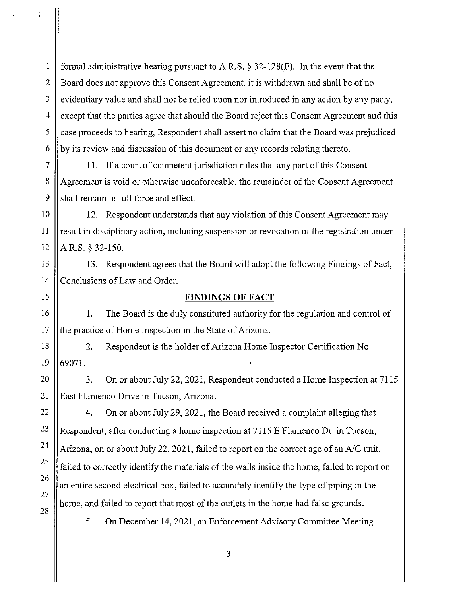1 || formal administrative hearing pursuant to A.R.S.  $\S$  32-128(E). In the event that the 2 Board does not approve this Consent Agreement, it is withdrawn and shall be of no  $3$  ||evidentiary value and shall not be relied upon nor introduced in any action by any party, 4 Secret that the parties agree that should the Board reject this Consent Agreement and this 5 case proceeds to hearing, Respondent shall assert no claim that the Board was prejudiced  $6 \parallel by$  its review and discussion of this document or any records relating thereto.

7 11. If a court of competent jurisdiction rules that any part of this Consent 8 Agreement is void or otherwise unenforceable, the remainder of the Consent Agreement  $9$  || shall remain in full force and effect.

10 | 12. Respondent understands that any violation of this Consent Agreement may 11  $\parallel$  result in disciplinary action, including suspension or revocation of the registration under 12  $|$  A.R.S. § 32-150.

13 13. Respondent agrees that the Board will adopt the following Findings of Fact, 14 Conclusions of Law and Order.

## 15 **FINDINGS OF FACT**

16 || 1. The Board is the duly constituted authority for the regulation and control of 17 If the practice of Home Inspection in the State of Arizona.

18 | 2. Respondent is the holder of Arizona Home Inspector Certification No.  $19$   $169071$ .

20 21 3. On or about July 22, 2021, Respondent conducted a Home Inspection at 7115 East Flamenco Drive in Tucson, Arizona.

22 23 24 25 26 27 28 4. On or about July 29, 2021, the Board received a complaint alleging that Respondent, after conducting a home inspection at 7115 E Flamenco Dr. in Tucson, Arizona, on or about July 22, 2021, failed to report on the correct age of an  $A/C$  unit, failed to correctly identify the materials of the walls inside the home, failed to report on an entire second electrical box, failed to accurately identify the type of piping in the home, and failed to report that most of the outlets in the home had false grounds.

5. On December 14, 2021, an Enforcement Advisory Committee Meeting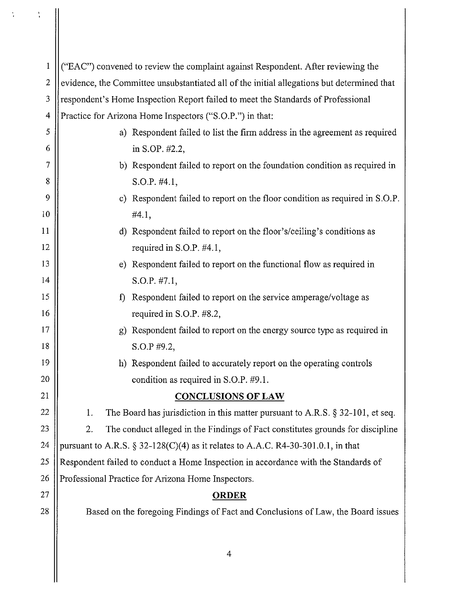| $\mathbf{1}$            | ("EAC") convened to review the complaint against Respondent. After reviewing the           |
|-------------------------|--------------------------------------------------------------------------------------------|
| $\overline{2}$          | evidence, the Committee unsubstantiated all of the initial allegations but determined that |
| 3                       | respondent's Home Inspection Report failed to meet the Standards of Professional           |
| $\overline{\mathbf{4}}$ | Practice for Arizona Home Inspectors ("S.O.P.") in that:                                   |
| 5                       | a) Respondent failed to list the firm address in the agreement as required                 |
| 6                       | in S.OP. #2.2,                                                                             |
| 7                       | b) Respondent failed to report on the foundation condition as required in                  |
| 8                       | $S.O.P.$ #4.1,                                                                             |
| 9                       | c) Respondent failed to report on the floor condition as required in S.O.P.                |
| 10                      | #4.1,                                                                                      |
| 11                      | d) Respondent failed to report on the floor's/ceiling's conditions as                      |
| 12                      | required in S.O.P. #4.1,                                                                   |
| 13                      | e) Respondent failed to report on the functional flow as required in                       |
| 14                      | S.O.P. #7.1,                                                                               |
| 15                      | Respondent failed to report on the service amperage/voltage as<br>$\mathbf{f}$             |
| 16                      | required in S.O.P. #8.2,                                                                   |
| 17                      | g) Respondent failed to report on the energy source type as required in                    |
| 18                      | S.O.P #9.2,                                                                                |
| 19                      | h) Respondent failed to accurately report on the operating controls                        |
| 20                      | condition as required in S.O.P. #9.1.                                                      |
| 21                      | <b>CONCLUSIONS OF LAW</b>                                                                  |
| 22                      | The Board has jurisdiction in this matter pursuant to A.R.S. $\S 32-101$ , et seq.<br>1.   |
| 23                      | 2.<br>The conduct alleged in the Findings of Fact constitutes grounds for discipline       |
| 24                      | pursuant to A.R.S. $\S 32-128(C)(4)$ as it relates to A.A.C. R4-30-301.0.1, in that        |
| 25                      | Respondent failed to conduct a Home Inspection in accordance with the Standards of         |
| 26                      | Professional Practice for Arizona Home Inspectors.                                         |
| 27                      | <b>ORDER</b>                                                                               |
| 28                      | Based on the foregoing Findings of Fact and Conclusions of Law, the Board issues           |
|                         |                                                                                            |
|                         |                                                                                            |

 $\frac{1}{3}$  .

 $\frac{1}{\sqrt{2}}$ 

 $\blacksquare$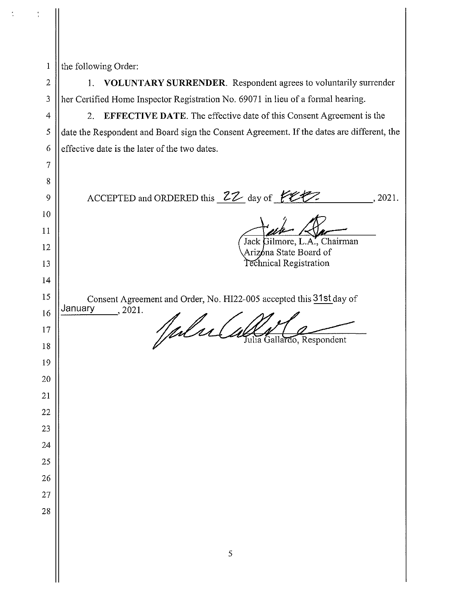| $\mathbf{1}$   | the following Order:                                                                      |
|----------------|-------------------------------------------------------------------------------------------|
| $\overline{2}$ | VOLUNTARY SURRENDER. Respondent agrees to voluntarily surrender<br>1.                     |
| 3              | her Certified Home Inspector Registration No. 69071 in lieu of a formal hearing.          |
| 4              | <b>EFFECTIVE DATE.</b> The effective date of this Consent Agreement is the<br>2.          |
| 5              | date the Respondent and Board sign the Consent Agreement. If the dates are different, the |
| 6              | effective date is the later of the two dates.                                             |
| 7              |                                                                                           |
| 8              |                                                                                           |
| 9              | ACCEPTED and ORDERED this $22$ day of $72$<br>.2021.                                      |
| 10             |                                                                                           |
| 11             | Jack Gilmore, L.A., Chairman                                                              |
| 12             | Arizóna State Board of                                                                    |
| 13             | Technical Registration                                                                    |
| 14             |                                                                                           |
| 15             | Consent Agreement and Order, No. HI22-005 accepted this 31st day of                       |
| 16             | January<br>, 2021.                                                                        |
| 17             | Inf's<br>Julia Gallardo, Respondent                                                       |
| $18\,$         |                                                                                           |
| 19             |                                                                                           |
| 20             |                                                                                           |
| 21             |                                                                                           |
| 22             |                                                                                           |
| 23             |                                                                                           |
| 24             |                                                                                           |
| 25             |                                                                                           |
| 26             |                                                                                           |
| 27             |                                                                                           |
| 28             |                                                                                           |
|                |                                                                                           |
|                |                                                                                           |

 $\frac{1}{2}$ 

 $\frac{1}{4}$ 

II